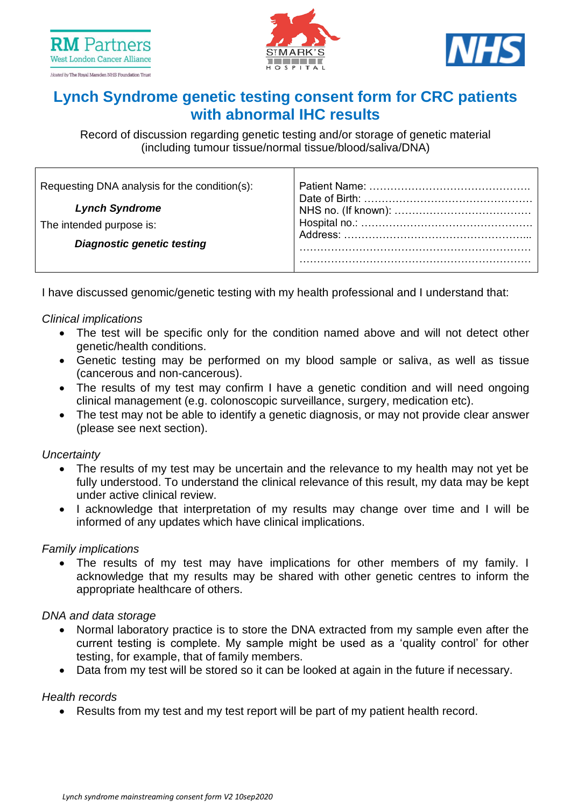





# **Lynch Syndrome genetic testing consent form for CRC patients with abnormal IHC results**

Record of discussion regarding genetic testing and/or storage of genetic material (including tumour tissue/normal tissue/blood/saliva/DNA)

I have discussed genomic/genetic testing with my health professional and I understand that:

## *Clinical implications*

- The test will be specific only for the condition named above and will not detect other genetic/health conditions.
- Genetic testing may be performed on my blood sample or saliva, as well as tissue (cancerous and non-cancerous).
- The results of my test may confirm I have a genetic condition and will need ongoing clinical management (e.g. colonoscopic surveillance, surgery, medication etc).
- The test may not be able to identify a genetic diagnosis, or may not provide clear answer (please see next section).

### *Uncertainty*

- The results of my test may be uncertain and the relevance to my health may not yet be fully understood. To understand the clinical relevance of this result, my data may be kept under active clinical review.
- I acknowledge that interpretation of my results may change over time and I will be informed of any updates which have clinical implications.

### *Family implications*

• The results of my test may have implications for other members of my family. I acknowledge that my results may be shared with other genetic centres to inform the appropriate healthcare of others.

### *DNA and data storage*

- Normal laboratory practice is to store the DNA extracted from my sample even after the current testing is complete. My sample might be used as a 'quality control' for other testing, for example, that of family members.
- Data from my test will be stored so it can be looked at again in the future if necessary.

### *Health records*

• Results from my test and my test report will be part of my patient health record.